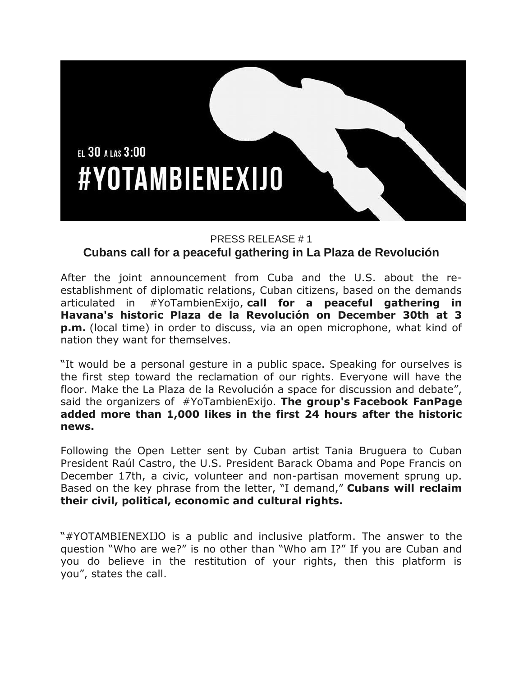

## PRESS RELEASE # 1

## **Cubans call for a peaceful gathering in La Plaza de Revolución**

After the joint announcement from Cuba and the U.S. about the reestablishment of diplomatic relations, Cuban citizens, based on the demands articulated in #YoTambienExijo, **call for a peaceful gathering in Havana's historic Plaza de la Revolución on December 30th at 3 p.m.** (local time) in order to discuss, via an open microphone, what kind of nation they want for themselves.

"It would be a personal gesture in a public space. Speaking for ourselves is the first step toward the reclamation of our rights. Everyone will have the floor. Make the La Plaza de la Revolución a space for discussion and debate", said the organizers of #YoTambienExijo. **The group's Facebook FanPage added more than 1,000 likes in the first 24 hours after the historic news.**

Following the Open Letter sent by Cuban artist Tania Bruguera to Cuban President Raúl Castro, the U.S. President Barack Obama and Pope Francis on December 17th, a civic, volunteer and non-partisan movement sprung up. Based on the key phrase from the letter, "I demand," **Cubans will reclaim their civil, political, economic and cultural rights.**

"#YOTAMBIENEXIJO is a public and inclusive platform. The answer to the question "Who are we?" is no other than "Who am I?" If you are Cuban and you do believe in the restitution of your rights, then this platform is you", states the call.